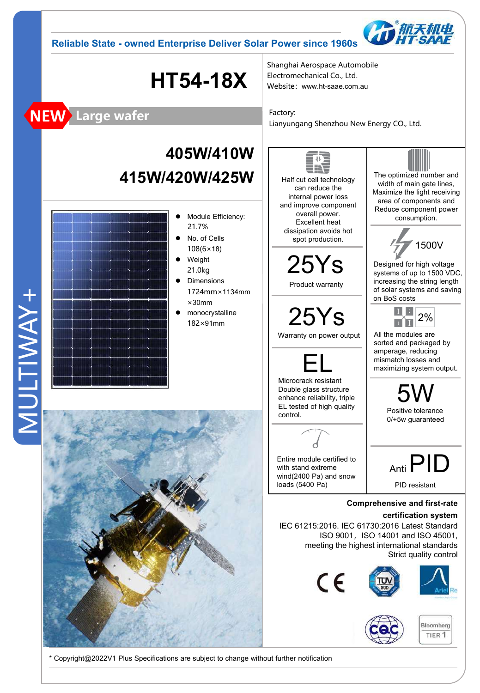



# **HT54-18X**

Shanghai Aerospace Automobile Electromechanical Co., Ltd. Website:www.ht-saae.com.au

Factory: Lianyungang Shenzhou New Energy CO., Ltd.

## **405W/410W 415W/420W/425W**

MULTIWAY+ MULTIWAY+

**NEW Large wafer**



 $\bullet$  Module Efficiency:

21.7%



Half cut cell technology can reduce the internal power loss and improve component overall power. Excellent heat dissipation avoids hot

The optimized number and width of main gate lines, Maximize the light receiving area of components and Reduce component power consumption.



Designed for high voltage systems of up to 1500 VDC, increasing the string length of solar systems and saving on BoS costs



All the modules are sorted and packaged by amperage, reducing mismatch losses and maximizing system output.



**Comprehensive and first-rate**

#### **certification system**

IEC 61215:2016. IEC 61730:2016 Latest Standard ISO 9001, ISO 14001 and ISO 45001, meeting the highest international standards Strict quality control





\* Copyright@2022V1 Plus Specifications are subject to change without further notification